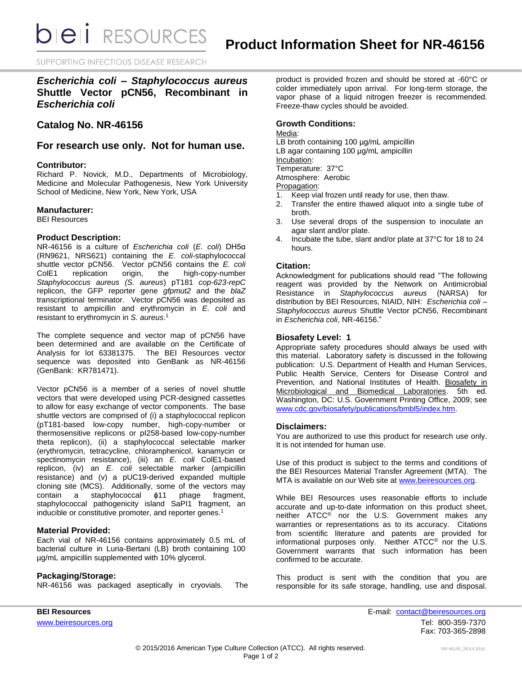**bieli** RESOURCES

SUPPORTING INFECTIOUS DISEASE RESEARCH

*Escherichia coli – Staphylococcus aureus* **Shuttle Vector pCN56, Recombinant in**  *Escherichia coli*

# **Catalog No. NR-46156**

**For research use only. Not for human use.**

### **Contributor:**

Richard P. Novick, M.D., Departments of Microbiology, Medicine and Molecular Pathogenesis, New York University School of Medicine, New York, New York, USA

#### **Manufacturer:**

BEI Resources

### **Product Description:**

NR-46156 is a culture of *Escherichia coli* (*E. coli*) DH5α (RN9621, NRS621) containing the *E. coli*-staphylococcal shuttle vector pCN56. Vector pCN56 contains the *E. coli* ColE1 replication origin, the high-copy-number *Staphylococcus aureus (S. aureus*) pT181 *cop-623-repC* replicon, the GFP reporter gene *gfpmut2* and the *blaZ* transcriptional terminator.Vector pCN56 was deposited as resistant to ampicillin and erythromycin in *E. coli* and resistant to erythromycin in *S. aureus*. 1

The complete sequence and vector map of pCN56 have been determined and are available on the Certificate of Analysis for lot 63381375. The BEI Resources vector sequence was deposited into GenBank as NR-46156 (GenBank: KR781471).

Vector pCN56 is a member of a series of novel shuttle vectors that were developed using PCR-designed cassettes to allow for easy exchange of vector components. The base shuttle vectors are comprised of (i) a staphylococcal replicon (pT181-based low-copy number, high-copy-number or thermosensitive replicons or pI258-based low-copy-number theta replicon), (ii) a staphylococcal selectable marker (erythromycin, tetracycline, chloramphenicol, kanamycin or spectinomycin resistance), (iii) an *E. coli* ColE1-based replicon, (iv) an *E. coli* selectable marker (ampicillin resistance) and (v) a pUC19-derived expanded multiple cloning site (MCS). Additionally, some of the vectors may contain a staphylococcal ϕ11 phage fragment, staphylococcal pathogenicity island SaPI1 fragment, an inducible or constitutive promoter, and reporter genes. 1

# **Material Provided:**

Each vial of NR-46156 contains approximately 0.5 mL of bacterial culture in Luria-Bertani (LB) broth containing 100 µg/mL ampicillin supplemented with 10% glycerol.

# **Packaging/Storage:**

NR-46156 was packaged aseptically in cryovials. The

product is provided frozen and should be stored at -60°C or colder immediately upon arrival. For long-term storage, the vapor phase of a liquid nitrogen freezer is recommended. Freeze-thaw cycles should be avoided.

# **Growth Conditions:**

#### Media:

LB broth containing 100 µg/mL ampicillin LB agar containing 100 µg/mL ampicillin Incubation: Temperature: 37°C Atmosphere: Aerobic

Propagation:

- 1. Keep vial frozen until ready for use, then thaw.
- 2. Transfer the entire thawed aliquot into a single tube of broth.
- 3. Use several drops of the suspension to inoculate an agar slant and/or plate.
- 4. Incubate the tube, slant and/or plate at 37°C for 18 to 24 hours.

# **Citation:**

Acknowledgment for publications should read "The following reagent was provided by the Network on Antimicrobial Resistance in *Staphylococcus aureus* (NARSA) for distribution by BEI Resources, NIAID, NIH: *Escherichia coli – Staphylococcus aureus* Shuttle Vector pCN56, Recombinant in *Escherichia coli*, NR-46156."

# **Biosafety Level: 1**

Appropriate safety procedures should always be used with this material. Laboratory safety is discussed in the following publication: U.S. Department of Health and Human Services, Public Health Service, Centers for Disease Control and Prevention, and National Institutes of Health. Biosafety in Microbiological and Biomedical Laboratories. 5th ed. Washington, DC: U.S. Government Printing Office, 2009; see [www.cdc.gov/biosafety/publications/bmbl5/index.htm.](http://www.cdc.gov/biosafety/publications/bmbl5/index.htm)

### **Disclaimers:**

You are authorized to use this product for research use only. It is not intended for human use.

Use of this product is subject to the terms and conditions of the BEI Resources Material Transfer Agreement (MTA). The MTA is available on our Web site at [www.beiresources.org.](http://www.beiresources.org/)

While BEI Resources uses reasonable efforts to include accurate and up-to-date information on this product sheet, neither ATCC® nor the U.S. Government makes any warranties or representations as to its accuracy. Citations from scientific literature and patents are provided for informational purposes only. Neither ATCC® nor the U.S. Government warrants that such information has been confirmed to be accurate.

This product is sent with the condition that you are responsible for its safe storage, handling, use and disposal.

**BEI Resources** E-mail: [contact@beiresources.org](mailto:contact@beiresources.org) [www.beiresources.org](http://www.beiresources.org/)Tel: 800-359-7370 Fax: 703-365-2898